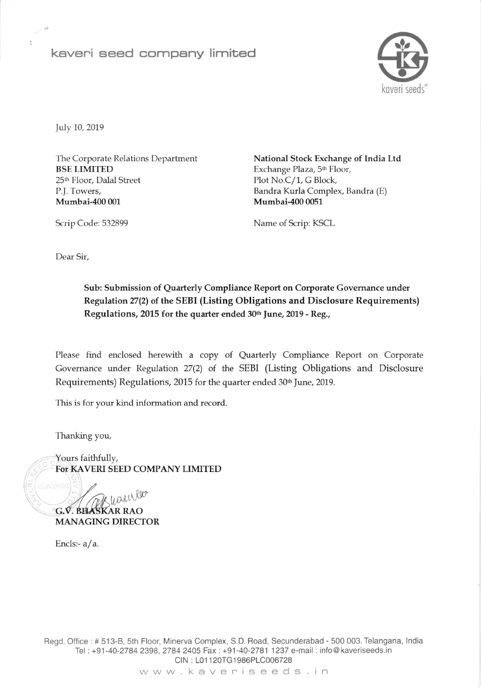## kaveri seed company limited



July 10, 2019

The Corporate Relations Department BSE LIMITED 25\*, Floor, Dalal Street P.l. Towers, Mumbai-400 001

National Stock Exchange of India Ltd Exchange Plaza, 5<sup>th</sup> Floor, Plot No.C/1, G Block, Bandra Kurla Complex, Bandra (E) Mumbai-400 0051

Scrip Code: 532899 Name of Scrip: KSCL

Dear Sir,

## Sub: Submission of Quarterly Compliance Report on Corporate Governance under Regulation 27(2) of the SEBI (Listing Obligations and Disclosure Requirements) Regulations, 2015 for the quarter ended 30th June, 2019 - Reg.,

Please find enclosed herewith a copy of Quarterly Compliance Report on Corporate Governance under Regulation 27(2) of the SEBI (Listing Obligations and Disclosure Requirements) Regulations, 2015 for the quarter ended 30<sup>th</sup> June, 2019.

This is for your kind information and record

Thanking you,

Yours faithfully, FOT KAVERI SEED COMPANY LIMITED

wasules G.V. BHASKAR RAO MANAGING DIRECTOR

Encls:- $a/a$ .

Regd. Office : # 513-8, 5th Floor, Minerva Complex, S.D. Boad, Secunderabad - 500 003. Telangana, lndia Tel: +91-40-2784 2398,2784 2405 Fax:+91-40-2781 1237 e-mail : info@ kaveriseeds.in CIN: L01120TG1986PLC006728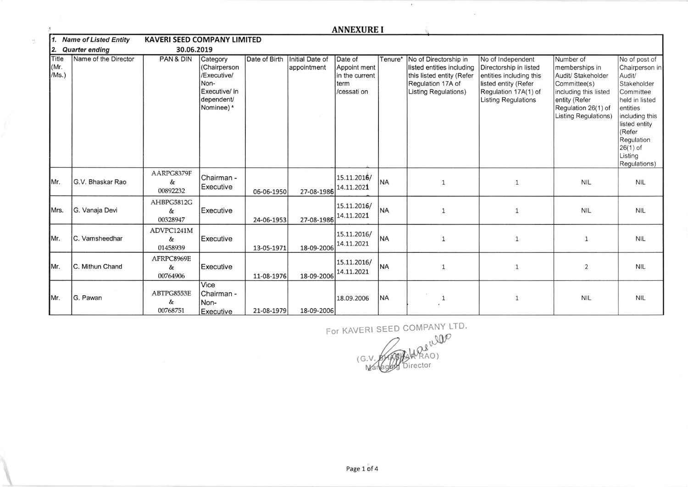|                                     | <b>ANNEXURE I</b>    |                                    |                                                                                              |               |                                |                                                                  |           |                                                                                                                                     |                                                                                                                                                      |                                                                                                                                                            |                                                                                                                                                                                                         |
|-------------------------------------|----------------------|------------------------------------|----------------------------------------------------------------------------------------------|---------------|--------------------------------|------------------------------------------------------------------|-----------|-------------------------------------------------------------------------------------------------------------------------------------|------------------------------------------------------------------------------------------------------------------------------------------------------|------------------------------------------------------------------------------------------------------------------------------------------------------------|---------------------------------------------------------------------------------------------------------------------------------------------------------------------------------------------------------|
| 11.<br><b>Name of Listed Entity</b> |                      | <b>KAVERI SEED COMPANY LIMITED</b> |                                                                                              |               |                                |                                                                  |           |                                                                                                                                     |                                                                                                                                                      |                                                                                                                                                            |                                                                                                                                                                                                         |
| 2.<br><b>Quarter ending</b>         |                      | 30.06.2019                         |                                                                                              |               |                                |                                                                  |           |                                                                                                                                     |                                                                                                                                                      |                                                                                                                                                            |                                                                                                                                                                                                         |
| Title<br>(Mr.<br>/Ms.)              | Name of the Director | PAN & DIN                          | Category<br>(Chairperson<br>/Executive/<br>Non-<br>Executive/ in<br>dependent/<br>Nominee) * | Date of Birth | Initial Date of<br>appointment | Date of<br>Appoint ment<br>in the current<br>term<br>/cessati on | Tenure*   | No of Directorship in<br>listed entities including<br>this listed entity (Refer<br>Regulation 17A of<br><b>Listing Regulations)</b> | No of Independent<br>Directorship in listed<br>entities including this<br>listed entity (Refer<br>Regulation 17A(1) of<br><b>Listing Regulations</b> | Number of<br>memberships in<br>Audit/ Stakeholder<br>Committee(s)<br>including this listed<br>entity (Refer<br>Regulation 26(1) of<br>Listing Regulations) | No of post of<br>Chairperson in<br>Audit/<br>Stakeholder<br>Committee<br>held in listed<br>entities<br>including this<br>listed entity<br>(Refer<br>Regulation<br>$26(1)$ of<br>Listing<br>Regulations) |
| Mr.                                 | G.V. Bhaskar Rao     | AARPG8379F<br>&<br>00892232        | Chairman -<br>Executive                                                                      | 06-06-1950    | 27-08-1986                     | 15.11.2016/<br>14.11.2021                                        | <b>NA</b> | $\mathbf{1}$                                                                                                                        | 1                                                                                                                                                    | <b>NIL</b>                                                                                                                                                 | <b>NIL</b>                                                                                                                                                                                              |
| Mrs.                                | G. Vanaja Devi       | AHBPG5812G<br>$\&$<br>00328947     | Executive                                                                                    | 24-06-1953    | 27-08-1986                     | 15.11.2016/<br>14.11.2021                                        | <b>NA</b> | 1                                                                                                                                   | 1                                                                                                                                                    | <b>NIL</b>                                                                                                                                                 | <b>NIL</b>                                                                                                                                                                                              |
| Mr.                                 | C. Vamsheedhar       | ADVPC1241M<br>&<br>01458939        | Executive                                                                                    | 13-05-1971    | 18-09-2006                     | 15.11.2016/<br>14.11.2021                                        | <b>NA</b> | $\mathbf{1}$                                                                                                                        | $\mathbf{1}$                                                                                                                                         | $\mathbf{1}$                                                                                                                                               | <b>NIL</b>                                                                                                                                                                                              |
| IMr.                                | C. Mithun Chand      | AFRPC8969E<br>&<br>00764906        | Executive                                                                                    | 11-08-1976    | 18-09-2006                     | 15.11.2016/<br>14.11.2021                                        | <b>NA</b> | $\mathbf{1}$                                                                                                                        | 1                                                                                                                                                    | $\overline{2}$                                                                                                                                             | <b>NIL</b>                                                                                                                                                                                              |
| IMr.                                | G. Pawan             | ABTPG8553E<br>&<br>00768751        | Vice<br>Chairman -<br>Non-<br>Executive                                                      | 21-08-1979    | 18-09-2006                     | 18.09.2006                                                       | <b>NA</b> | 1                                                                                                                                   | 1                                                                                                                                                    | <b>NIL</b>                                                                                                                                                 | <b>NIL</b>                                                                                                                                                                                              |

 $\frac{\lambda}{\lambda^2}$ 

For KAVERI SEED COMPANY LTD.

 $\lambda$ 

 $\mathcal{L}_{\mathbf{z}}$ 

(G.V ,,j0P AO) ector